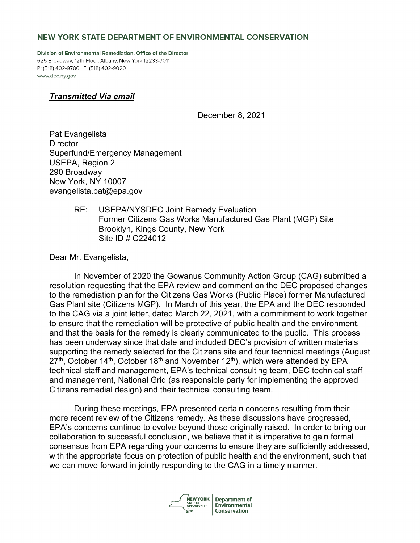# NEW YORK STATE DEPARTMENT OF ENVIRONMENTAL CONSERVATION

Division of Environmental Remediation, Office of the Director 625 Broadway, 12th Floor, Albany, New York 12233-7011 P: (518) 402-9706 | F: (518) 402-9020 www.dec.ny.gov

# *Transmitted Via email*

December 8, 2021

Pat Evangelista **Director** Superfund/Emergency Management USEPA, Region 2 290 Broadway New York, NY 10007 evangelista.pat@epa.gov

# RE: USEPA/NYSDEC Joint Remedy Evaluation Former Citizens Gas Works Manufactured Gas Plant (MGP) Site Brooklyn, Kings County, New York Site ID # C224012

Dear Mr. Evangelista,

In November of 2020 the Gowanus Community Action Group (CAG) submitted a resolution requesting that the EPA review and comment on the DEC proposed changes to the remediation plan for the Citizens Gas Works (Public Place) former Manufactured Gas Plant site (Citizens MGP). In March of this year, the EPA and the DEC responded to the CAG via a joint letter, dated March 22, 2021, with a commitment to work together to ensure that the remediation will be protective of public health and the environment, and that the basis for the remedy is clearly communicated to the public. This process has been underway since that date and included DEC's provision of written materials supporting the remedy selected for the Citizens site and four technical meetings (August  $27<sup>th</sup>$ , October 14<sup>th</sup>, October 18<sup>th</sup> and November 12<sup>th</sup>), which were attended by EPA technical staff and management, EPA's technical consulting team, DEC technical staff and management, National Grid (as responsible party for implementing the approved Citizens remedial design) and their technical consulting team.

During these meetings, EPA presented certain concerns resulting from their more recent review of the Citizens remedy. As these discussions have progressed, EPA's concerns continue to evolve beyond those originally raised. In order to bring our collaboration to successful conclusion, we believe that it is imperative to gain formal consensus from EPA regarding your concerns to ensure they are sufficiently addressed, with the appropriate focus on protection of public health and the environment, such that we can move forward in jointly responding to the CAG in a timely manner.



**Department of** Environmental **Conservation**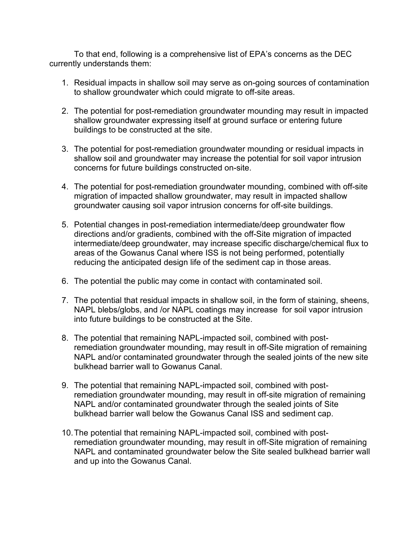To that end, following is a comprehensive list of EPA's concerns as the DEC currently understands them:

- 1. Residual impacts in shallow soil may serve as on-going sources of contamination to shallow groundwater which could migrate to off-site areas.
- 2. The potential for post-remediation groundwater mounding may result in impacted shallow groundwater expressing itself at ground surface or entering future buildings to be constructed at the site.
- 3. The potential for post-remediation groundwater mounding or residual impacts in shallow soil and groundwater may increase the potential for soil vapor intrusion concerns for future buildings constructed on-site.
- 4. The potential for post-remediation groundwater mounding, combined with off-site migration of impacted shallow groundwater, may result in impacted shallow groundwater causing soil vapor intrusion concerns for off-site buildings.
- 5. Potential changes in post-remediation intermediate/deep groundwater flow directions and/or gradients, combined with the off-Site migration of impacted intermediate/deep groundwater, may increase specific discharge/chemical flux to areas of the Gowanus Canal where ISS is not being performed, potentially reducing the anticipated design life of the sediment cap in those areas.
- 6. The potential the public may come in contact with contaminated soil.
- 7. The potential that residual impacts in shallow soil, in the form of staining, sheens, NAPL blebs/globs, and /or NAPL coatings may increase for soil vapor intrusion into future buildings to be constructed at the Site.
- 8. The potential that remaining NAPL-impacted soil, combined with postremediation groundwater mounding, may result in off-Site migration of remaining NAPL and/or contaminated groundwater through the sealed joints of the new site bulkhead barrier wall to Gowanus Canal.
- 9. The potential that remaining NAPL-impacted soil, combined with postremediation groundwater mounding, may result in off-site migration of remaining NAPL and/or contaminated groundwater through the sealed joints of Site bulkhead barrier wall below the Gowanus Canal ISS and sediment cap.
- 10.The potential that remaining NAPL-impacted soil, combined with postremediation groundwater mounding, may result in off-Site migration of remaining NAPL and contaminated groundwater below the Site sealed bulkhead barrier wall and up into the Gowanus Canal.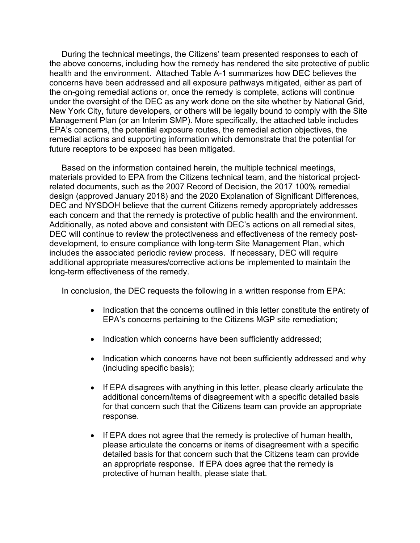During the technical meetings, the Citizens' team presented responses to each of the above concerns, including how the remedy has rendered the site protective of public health and the environment. Attached Table A-1 summarizes how DEC believes the concerns have been addressed and all exposure pathways mitigated, either as part of the on-going remedial actions or, once the remedy is complete, actions will continue under the oversight of the DEC as any work done on the site whether by National Grid, New York City, future developers, or others will be legally bound to comply with the Site Management Plan (or an Interim SMP). More specifically, the attached table includes EPA's concerns, the potential exposure routes, the remedial action objectives, the remedial actions and supporting information which demonstrate that the potential for future receptors to be exposed has been mitigated.

Based on the information contained herein, the multiple technical meetings, materials provided to EPA from the Citizens technical team, and the historical projectrelated documents, such as the 2007 Record of Decision, the 2017 100% remedial design (approved January 2018) and the 2020 Explanation of Significant Differences, DEC and NYSDOH believe that the current Citizens remedy appropriately addresses each concern and that the remedy is protective of public health and the environment. Additionally, as noted above and consistent with DEC's actions on all remedial sites, DEC will continue to review the protectiveness and effectiveness of the remedy postdevelopment, to ensure compliance with long-term Site Management Plan, which includes the associated periodic review process. If necessary, DEC will require additional appropriate measures/corrective actions be implemented to maintain the long-term effectiveness of the remedy.

In conclusion, the DEC requests the following in a written response from EPA:

- Indication that the concerns outlined in this letter constitute the entirety of EPA's concerns pertaining to the Citizens MGP site remediation;
- Indication which concerns have been sufficiently addressed;
- Indication which concerns have not been sufficiently addressed and why (including specific basis);
- If EPA disagrees with anything in this letter, please clearly articulate the additional concern/items of disagreement with a specific detailed basis for that concern such that the Citizens team can provide an appropriate response.
- If EPA does not agree that the remedy is protective of human health, please articulate the concerns or items of disagreement with a specific detailed basis for that concern such that the Citizens team can provide an appropriate response. If EPA does agree that the remedy is protective of human health, please state that.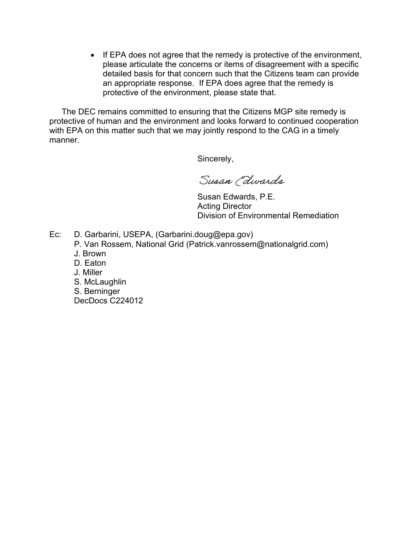• If EPA does not agree that the remedy is protective of the environment, please articulate the concerns or items of disagreement with a specific detailed basis for that concern such that the Citizens team can provide an appropriate response. If EPA does agree that the remedy is protective of the environment, please state that.

The DEC remains committed to ensuring that the Citizens MGP site remedy is protective of human and the environment and looks forward to continued cooperation with EPA on this matter such that we may jointly respond to the CAG in a timely manner.

Sincerely,

Susan (dwards

 Susan Edwards, P.E. Acting Director Division of Environmental Remediation

- Ec: D. Garbarini, USEPA, (Garbarini.doug@epa.gov)
	- P. Van Rossem, National Grid (Patrick.vanrossem@nationalgrid.com)
	- J. Brown
	- D. Eaton
	- J. Miller
	- S. McLaughlin
	- S. Berninger
	- DecDocs C224012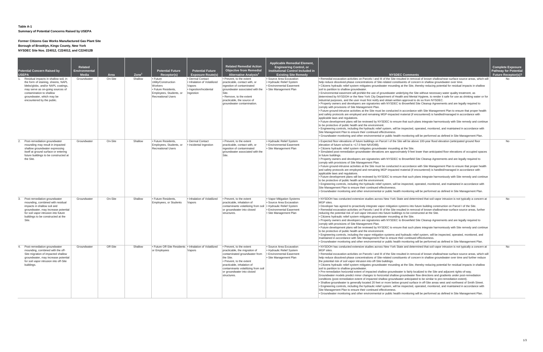### **Table A-1**

### **Summary of Potential Concerns Raised by USEPA**

#### **Former Citizens Gas Works Manufactured Gas Plant Site**

**Borough of Brooklyn, Kings County, New York NYSDEC Site Nos. 224012, C224012, and C224012B**

| <b>Potential Concern Raised by</b><br><b>USEPA</b><br>1. Residual impacts in shallow soil, in<br>the form of staining, sheens, NAPL<br>blebs/globs, and/or NAPL coatings,<br>may serve as on-going sources of<br>contamination to shallow<br>groundwater, which may be<br>encountered by the public. | Related<br><b>Environmental</b><br><b>Media</b><br>Groundwater | Area<br>On-Site | $\mathsf{Zone}^1$<br>Shallow | <b>Potential Future</b><br>Receptor(s)<br>$\cdot$ Future<br>Utility/Construction<br>Workers<br>• Future Residents,<br>Employees, Students, or<br><b>Recreational Users</b> | <b>Potential Future</b><br><b>Exposure Route(s)</b><br>• Dermal Contact<br>• Inhalation of Volatilized<br>Vapors<br>· Ingestion/Incidental<br>ngestion | <b>Related Remedial Action</b><br><b>Objective from Remedial</b><br>Alternative Analysis <sup>2</sup><br>• Prevent, to the extent<br>practicable, contact with, or<br>ingestion of contaminated<br>groundwater associated with the<br>Site.<br>· Remove, to the extent<br>practicable, the source of<br>groundwater contamination. | Applicable Remedial Element,<br><b>Engineering Control, or</b><br><b>Institutional Control Included in</b><br><b>Existing Site Remedy</b><br>• Source Area Excavation<br>Hydraulic Relief System<br><b>Environmental Easement</b><br>• Site Management Plan | <b>NYSDEC Comments</b><br>. Remedial excavation activities on Parcels I and III of the Site resulted in removal of known shallow/near-surface source areas, which will<br>help reduce dissolved-phase concentrations of Site-related constituents of concern in shallow groundwater over time.<br>• Citizens hydraulic relief system mitigates groundwater mounding at the Site, thereby reducing potential for residual impacts in shallow<br>soil to partition to shallow groundwater.<br>. Environmental easement will prohibit the use of groundwater underlying the Site without necessary water quality treatment, as<br>determined by NYSDOH or the New York City Department of Health and Mental Hygiene, to render it safe for use as drinking water or for<br>industrial purposes, and the user must first notify and obtain written approval to do so from NYSDEC.<br>• Property owners and developers are signatories with NYSDEC to Brownfield Site Cleanup Agreements and are legally required to<br>comply with provisions of Site Management Plan.<br>• Future ground-intrusive activities at the Site must be conducted in accordance with Site Management Plan to ensure that proper health<br>and safety protocols are employed and remaining MGP-impacted material (if encountered) is handled/managed in accordance with<br>applicable laws and regulations.<br>• Future development plans will be reviewed by NYSDEC to ensure that such plans integrate harmoniously with Site remedy and continue<br>to be protective of public health and the environment.<br>• Engineering controls, including the hydraulic relief system, will be inspected, operated, monitored, and maintained in accordance with<br>Site Management Plan to ensure their continued effectiveness.<br>. Groundwater monitoring and other environmental or public health monitoring will be performed as defined in Site Management Plan. | <b>Complete Exposure</b><br><b>Pathway for Potential</b><br><b>Future Receptor(s)?</b><br>No. |
|------------------------------------------------------------------------------------------------------------------------------------------------------------------------------------------------------------------------------------------------------------------------------------------------------|----------------------------------------------------------------|-----------------|------------------------------|----------------------------------------------------------------------------------------------------------------------------------------------------------------------------|--------------------------------------------------------------------------------------------------------------------------------------------------------|------------------------------------------------------------------------------------------------------------------------------------------------------------------------------------------------------------------------------------------------------------------------------------------------------------------------------------|-------------------------------------------------------------------------------------------------------------------------------------------------------------------------------------------------------------------------------------------------------------|----------------------------------------------------------------------------------------------------------------------------------------------------------------------------------------------------------------------------------------------------------------------------------------------------------------------------------------------------------------------------------------------------------------------------------------------------------------------------------------------------------------------------------------------------------------------------------------------------------------------------------------------------------------------------------------------------------------------------------------------------------------------------------------------------------------------------------------------------------------------------------------------------------------------------------------------------------------------------------------------------------------------------------------------------------------------------------------------------------------------------------------------------------------------------------------------------------------------------------------------------------------------------------------------------------------------------------------------------------------------------------------------------------------------------------------------------------------------------------------------------------------------------------------------------------------------------------------------------------------------------------------------------------------------------------------------------------------------------------------------------------------------------------------------------------------------------------------------------------------------------------------------------------------------------------------|-----------------------------------------------------------------------------------------------|
| 2. Post-remediation groundwater<br>mounding may result in impacted<br>shallow groundwater expressing<br>itself at ground surface or entering<br>future buildings to be constructed at<br>the Site.                                                                                                   | Groundwater                                                    | On-Site         | Shallow                      | Future Residents.<br>Employees, Students, or<br><b>Recreational Users</b>                                                                                                  | • Dermal Contact<br>Incidental Ingestion                                                                                                               | • Prevent, to the extent<br>practicable, contact with, or<br>ingestion of contaminated<br>groundwater associated with the<br>Site.                                                                                                                                                                                                 | • Hydraulic Relief System<br><b>Environmental Easement</b><br>• Site Management Plan                                                                                                                                                                        | Expected floor elevations of future buildings on Parcel I of the Site will be above 100-year flood elevation (anticipated ground floor<br>elevation of future school is +17.0 feet NAVD88).<br>. Citizens hydraulic relief system mitigates groundwater mounding at the Site.<br>• Simulated post-remediation groundwater elevations are approximately 9 feet lower than anticipated floor elevations of occupied spaces<br>in future buildings.<br>• Property owners and developers are signatories with NYSDEC to Brownfield Site Cleanup Agreements and are legally required to<br>comply with provisions of Site Management Plan.<br>• Future ground-intrusive activities at the Site must be conducted in accordance with Site Management Plan to ensure that proper health<br>and safety protocols are employed and remaining MGP-impacted material (if encountered) is handled/managed in accordance with<br>applicable laws and regulations.<br>• Future development plans will be reviewed by NYSDEC to ensure that such plans integrate harmoniously with Site remedy and continue<br>to be protective of public health and the environment.<br>• Engineering controls, including the hydraulic relief system, will be inspected, operated, monitored, and maintained in accordance with<br>Site Management Plan to ensure their continued effectiveness.<br>. Groundwater monitoring and other environmental or public health monitoring will be performed as defined in Site Management Plan.                                                                                                                                                                                                                                                                                                                                                                                                                              | No                                                                                            |
| 3. Post-remediation groundwater<br>mounding, combined with residual<br>impacts in shallow soil and<br>groundwater, may increase potential<br>for soil vapor intrusion into future<br>buildings to be constructed at the<br>Site.                                                                     | Groundwater                                                    | On-Site         | Shallow                      | • Future Residents,<br>Employees, or Students                                                                                                                              | • Inhalation of Volatilized<br>/apors                                                                                                                  | • Prevent, to the extent<br>practicable, inhalation of<br>contaminants volatilizing from soil<br>or groundwater into closed<br>structures.                                                                                                                                                                                         | • Vapor Mitigation Systems<br>• Source Area Excavation<br>• Hydraulic Relief System<br><b>Environmental Easement</b><br>• Site Management Plan                                                                                                              | • NYSDOH has conducted extensive studies across New York State and determined that soil vapor intrusion is not typically a concern at<br>MGP sites.<br>. Developer has agreed to proactively integrate vapor mitigation systems into future building construction on Parcel I of the Site.<br>. Remedial excavation activities on Parcels I and III of the Site resulted in removal of known shallow/near-surface source areas, further<br>reducing the potential risk of soil vapor intrusion into future buildings to be constructed at the Site.<br>. Citizens hydraulic relief system mitigates groundwater mounding at the Site.<br>. Property owners and developers are signatories with NYSDEC to Brownfield Site Cleanup Agreements and are legally required to<br>comply with provisions of Site Management Plan.<br>• Future development plans will be reviewed by NYSDEC to ensure that such plans integrate harmoniously with Site remedy and continue<br>to be protective of public health and the environment.<br>Figure Engineering controls, including the vapor mitigation systems and hydraulic relief system, will be inspected, operated, monitored, and<br>maintained in accordance with Site Management Plan to ensure their continued effectiveness.<br>• Groundwater monitoring and other environmental or public health monitoring will be performed as defined in Site Management Plan.                                                                                                                                                                                                                                                                                                                                                                                                                                                                                                                      | No                                                                                            |
| 4. Post-remediation groundwater<br>mounding, combined with the off-<br>Site migration of impacted shallow<br>groundwater, may increase potential<br>for soil vapor intrusion into off-Site<br>buildings.                                                                                             | Groundwater                                                    | Off-Site        | Shallow                      | • Future Off-Site Residents • Inhalation of Volatilized<br>or Employees                                                                                                    | Vapors                                                                                                                                                 | • Prevent, to the extent<br>practicable, the migration of<br>contaminated groundwater from<br>the Site.<br>• Prevent, to the extent<br>practicable, inhalation of<br>contaminants volatilizing from soil<br>or groundwater into closed<br>structures.                                                                              | • Source Area Excavation<br>. Hydraulic Relief System<br><b>Environmental Easement</b><br>• Site Management Plan                                                                                                                                            | • NYSDOH has conducted extensive studies across New York State and determined that soil vapor intrusion is not typically a concern at<br>MGP sites.<br>• Remedial excavation activities on Parcels I and III of the Site resulted in removal of known shallow/near-surface source areas, which will<br>help reduce dissolved-phase concentrations of Site-related constituents of concern in shallow groundwater over time and further reduce<br>the potential risk of soil vapor intrusion into off-Site buildings.<br>• Citizens hydraulic relief system mitigates groundwater mounding at the Site, thereby reducing potential for residual impacts in shallow<br>soil to partition to shallow groundwater.<br>• Pre-remediation horizontal extent of impacted shallow groundwater is fairly localized to the Site and adjacent rights-of-way.<br>Groundwater models predict minor changes to horizontal shallow groundwater flow directions and gradients under post-remediation<br>conditions (post-remediation extent of impacted shallow groundwater anticipated to be similar to pre-remediation extent).<br>. Shallow groundwater is generally located 20 feet or more below ground surface in off-Site areas west and northwest of Smith Street.<br>• Engineering controls, including the hydraulic relief system, will be inspected, operated, monitored, and maintained in accordance with<br>Site Management Plan to ensure their continued effectiveness.<br>. Groundwater monitoring and other environmental or public health monitoring will be performed as defined in Site Management Plan.                                                                                                                                                                                                                                                                                                                          | No                                                                                            |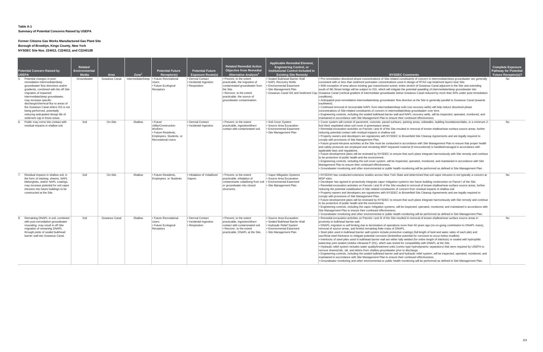#### **Table A-1 Summary of Potential Concerns Raised by USEPA**

### **Former Citizens Gas Works Manufactured Gas Plant Site**

#### **Borough of Brooklyn, Kings County, New York**

**NYSDEC Site Nos. 224012, C224012, and C224012B**

|    | <b>Potential Concern Raised by</b><br><b>USEPA</b><br>5. Potential changes in post-<br>remediation intermediate/deep<br>groundwater flow directions and/or<br>gradients, combined with the off-Site<br>migration of impacted<br>intermediate/deep groundwater,<br>may increase specific<br>discharge/chemical flux to areas of<br>the Gowanus Canal where ISS is not<br>being performed, potentially<br>reducing anticipated design life of<br>sediment cap in those areas. | Related<br><b>Environmental</b><br><b>Media</b><br>Groundwater | Area<br>Gowanus Canal | $\mathsf{Zone}^1$ | <b>Potential Future</b><br>Receptor(s)<br>Intermediate/Deep • Future Recreational<br><b>Users</b><br>• Future Ecological<br>Receptors | <b>Potential Future</b><br><b>Exposure Route(s)</b><br>• Dermal Contact<br>• Incidental Ingestion<br>· Respiration | <b>Related Remedial Action</b><br><b>Objective from Remedial</b><br>Alternative Analysis <sup>2</sup><br>• Prevent, to the extent<br>practicable, the migration of<br>contaminated groundwater from<br>the Site.<br>• Remove, to the extent<br>practicable, the source of<br>groundwater contamination. | <b>Applicable Remedial Element,</b><br><b>Engineering Control, or</b><br><b>Institutional Control Included in</b><br><b>Existing Site Remedy</b><br>· Sealed Bulkhead Barrier Wall<br>• NAPL Recovery Wells<br>• Environmental Easement<br>• Site Management Plan | <b>NYSDEC Comments</b><br>• Pre-remediation dissolved-phase concentrations of Site-related constituents of concern in intermediate/deep groundwater are ge<br>consistent with or less than sediment porewater concentrations used in design of RTA2 cap treatment layers near Site.<br>. With exception of area above existing gas transmission tunnel, entire stretch of Gowanus Canal adjacent to the Site and extendi<br>south of 9th Street bridge will be subject to ISS, which will mitigate the potential upwelling of intermediate/deep groundwater into<br>. Gowanus Canal ISS and Sediment Cap Gowanus Canal (vertical gradient of intermediate groundwater below Gowanus Canal reduced by more than 50% under post-reme<br>conditions).<br>• Anticipated post-remediation intermediate/deep groundwater flow direction at the Site is generally parallel to Gowanus Canal (to<br>southwest)<br>• Continued removal of recoverable NAPL from intermediate/deep soils (via recovery wells) will help reduce dissolved-phase<br>concentrations of Site-related constituents of concern in intermediate/deep groundwater over time.<br>• Engineering controls, including the sealed bulkhead barrier wall and NAPL recovery wells, will be inspected, operated, monitored<br>maintained in accordance with Site Management Plan to ensure their continued effectiveness.                                                                                                                                               |
|----|-----------------------------------------------------------------------------------------------------------------------------------------------------------------------------------------------------------------------------------------------------------------------------------------------------------------------------------------------------------------------------------------------------------------------------------------------------------------------------|----------------------------------------------------------------|-----------------------|-------------------|---------------------------------------------------------------------------------------------------------------------------------------|--------------------------------------------------------------------------------------------------------------------|---------------------------------------------------------------------------------------------------------------------------------------------------------------------------------------------------------------------------------------------------------------------------------------------------------|-------------------------------------------------------------------------------------------------------------------------------------------------------------------------------------------------------------------------------------------------------------------|-------------------------------------------------------------------------------------------------------------------------------------------------------------------------------------------------------------------------------------------------------------------------------------------------------------------------------------------------------------------------------------------------------------------------------------------------------------------------------------------------------------------------------------------------------------------------------------------------------------------------------------------------------------------------------------------------------------------------------------------------------------------------------------------------------------------------------------------------------------------------------------------------------------------------------------------------------------------------------------------------------------------------------------------------------------------------------------------------------------------------------------------------------------------------------------------------------------------------------------------------------------------------------------------------------------------------------------------------------------------------------------------------------------------------------------------------------------------------------------------------------------------------------|
|    | 6. Public may come into contact with<br>residual impacts in shallow soil.                                                                                                                                                                                                                                                                                                                                                                                                   | Soil                                                           | On-Site               | Shallow           | $\cdot$ Future<br>Utility/Construction<br>Workers<br>· Future Residents,<br>Employees, Students, or<br><b>Recreational Users</b>      | • Dermal Contact<br>• Incidental Ingestion                                                                         | • Prevent, to the extent<br>practicable, ingestion/direct<br>contact with contaminated soil.                                                                                                                                                                                                            | · Soil Cover System<br>· Source Area Excavation<br>• Environmental Easement<br>· Site Management Plan                                                                                                                                                             | . Cover system will consist of pavement, concrete, paved surfaces, parking areas, sidewalks, building foundations/slabs, or a min<br>foot thick vegetated clean soil cover in greenspace areas.<br>. Remedial excavation activities on Parcels I and III of the Site resulted in removal of known shallow/near-surface source areas, fu<br>reducing potential contact with residual impacts in shallow soil.<br>• Property owners and developers are signatories with NYSDEC to Brownfield Site Cleanup Agreements and are legally required t<br>comply with provisions of Site Management Plan.<br>• Future ground-intrusive activities at the Site must be conducted in accordance with Site Management Plan to ensure that proper<br>and safety protocols are employed and remaining MGP-impacted material (if encountered) is handled/managed in accordance wit<br>applicable laws and regulations.<br>. Future development plans will be reviewed by NYSDEC to ensure that such plans integrate harmoniously with Site remedy and c<br>to be protective of public health and the environment<br>• Engineering controls, including the soil cover system, will be inspected, operated, monitored, and maintained in accordance with<br>Management Plan to ensure their continued effectiveness.<br>. Groundwater monitoring and other environmental or public health monitoring will be performed as defined in Site Management P                                                                                         |
|    | Residual impacts in shallow soil, in<br>the form of staining, sheens, NAPL<br>blebs/globs, and/or NAPL coatings,<br>may increase potential for soil vapor<br>intrusion into future buildings to be<br>constructed at the Site.                                                                                                                                                                                                                                              | Soil                                                           | On-Site               | Shallow           | Future Residents.<br>Employees, or Students                                                                                           | . Inhalation of Volatilized<br>Vapors                                                                              | • Prevent, to the extent<br>practicable, inhalation of<br>contaminants volatilizing from soil<br>or groundwater into closed<br>structures.                                                                                                                                                              | • Vapor Mitigation Systems<br>• Source Area Excavation<br><b>Environmental Easement</b><br>· Site Management Plan                                                                                                                                                 | . NYSDOH has conducted extensive studies across New York State and determined that soil vapor intrusion is not typically a con<br>MGP sites.<br>. Developer has agreed to proactively integrate vapor mitigation systems into future building construction on Parcel I of the Site.<br>• Remedial excavation activities on Parcels I and III of the Site resulted in removal of known shallow/near-surface source areas, fu<br>reducing the potential volatilization of Site-related constituents of concern from residual impacts in shallow soil.<br>• Property owners and developers are signatories with NYSDEC to Brownfield Site Cleanup Agreements and are legally required t<br>comply with provisions of Site Management Plan.<br>. Future development plans will be reviewed by NYSDEC to ensure that such plans integrate harmoniously with Site remedy and c<br>to be protective of public health and the environment<br>• Engineering controls, including the vapor mitigation systems, will be inspected, operated, monitored, and maintained in accordar<br>Site Management Plan to ensure their continued effectiveness.<br>. Groundwater monitoring and other environmental or public health monitoring will be performed as defined in Site Management P                                                                                                                                                                                                                                                    |
| 8. | Remaining DNAPL in soil, combined<br>with post-remediation groundwater<br>mounding, may result in off-Site<br>migration of remaining DNAPL<br>through joints of sealed bulkhead<br>barrier wall into Gowanus Canal.                                                                                                                                                                                                                                                         | Soil                                                           | Gowanus Canal         | Shallow           | • Future Recreational<br><b>Users</b><br>• Future Ecological<br>Receptors                                                             | • Dermal Contact<br>• Incidental Ingestion<br>• Respiration                                                        | • Prevent, to the extent<br>practicable, ingestion/direct<br>contact with contaminated soil.<br>• Recover, to the extent<br>practicable, DNAPL at the Site.                                                                                                                                             | · Source Area Excavation<br>• Sealed Bulkhead Barrier Wall<br>• Hydraulic Relief System<br><b>Environmental Easement</b><br>· Site Management Plan                                                                                                                | . Remedial excavation activities on Parcels I and III of the Site resulted in removal of known shallow/near-surface source areas in<br>proximity to bulkhead barrier wall.<br>. DNAPL migration is self limiting due to termination of operations more than 50 years ago (no on-going contribution to DNAPL ma<br>removal of source areas, and limited remaining finite mass of DNAPL.<br>. Steel piles used in bulkhead barrier wall system include protective coatings (full length of land and water sides of each pile) and<br>sacrificial steel thickness to mitigate potential corrosion (limited/low potential for corrosion to occur below mudline).<br>• Interlocks of steel piles used in bulkhead barrier wall are either fully welded (for entire length of interlock) or sealed with hydrophi<br>waterstop joint sealant (Adeka Ultraseal P-201), which was tested for compatibility with DNAPL at the Site.<br>. Hydraulic relief system includes water quality/treatment units (vortex-type hydrodynamic separators) that were required by USEF<br>remove sheens/oils, silt, and debris from shallow groundwater prior to discharge.<br>. Engineering controls, including the sealed bulkhead barrier wall and hydraulic relief system, will be inspected, operated, monitore<br>maintained in accordance with Site Management Plan to ensure their continued effectiveness.<br>. Groundwater monitoring and other environmental or public health monitoring will be performed as defined in Site Management P |

| <b>NYSDEC Comments</b>                                                                                                                                                                                                                                                                                                                                                                                                                                                                                                                                                                                                                                                                                                                                                                                                                                                                                                                                                                                                                                                                                                                                                                                                                                                                                                                                                                                                                                                                                                                           | <b>Complete Exposure</b><br><b>Pathway for Potential</b><br><b>Future Receptor(s)?</b> |
|--------------------------------------------------------------------------------------------------------------------------------------------------------------------------------------------------------------------------------------------------------------------------------------------------------------------------------------------------------------------------------------------------------------------------------------------------------------------------------------------------------------------------------------------------------------------------------------------------------------------------------------------------------------------------------------------------------------------------------------------------------------------------------------------------------------------------------------------------------------------------------------------------------------------------------------------------------------------------------------------------------------------------------------------------------------------------------------------------------------------------------------------------------------------------------------------------------------------------------------------------------------------------------------------------------------------------------------------------------------------------------------------------------------------------------------------------------------------------------------------------------------------------------------------------|----------------------------------------------------------------------------------------|
| • Pre-remediation dissolved-phase concentrations of Site-related constituents of concern in intermediate/deep groundwater are generally<br>consistent with or less than sediment porewater concentrations used in design of RTA2 cap treatment layers near Site.<br>• With exception of area above existing gas transmission tunnel, entire stretch of Gowanus Canal adjacent to the Site and extending<br>south of 9th Street bridge will be subject to ISS, which will mitigate the potential upwelling of intermediate/deep groundwater into<br>Gowanus Canal (vertical gradient of intermediate groundwater below Gowanus Canal reduced by more than 50% under post-remediation<br>conditions).                                                                                                                                                                                                                                                                                                                                                                                                                                                                                                                                                                                                                                                                                                                                                                                                                                              | <b>No</b>                                                                              |
| • Anticipated post-remediation intermediate/deep groundwater flow direction at the Site is generally parallel to Gowanus Canal (towards<br>southwest).<br>• Continued removal of recoverable NAPL from intermediate/deep soils (via recovery wells) will help reduce dissolved-phase<br>concentrations of Site-related constituents of concern in intermediate/deep groundwater over time.<br>• Engineering controls, including the sealed bulkhead barrier wall and NAPL recovery wells, will be inspected, operated, monitored, and                                                                                                                                                                                                                                                                                                                                                                                                                                                                                                                                                                                                                                                                                                                                                                                                                                                                                                                                                                                                            |                                                                                        |
| maintained in accordance with Site Management Plan to ensure their continued effectiveness.<br>• Cover system will consist of pavement, concrete, paved surfaces, parking areas, sidewalks, building foundations/slabs, or a minimum 2-<br>foot thick vegetated clean soil cover in greenspace areas.<br>• Remedial excavation activities on Parcels I and III of the Site resulted in removal of known shallow/near-surface source areas, further<br>reducing potential contact with residual impacts in shallow soil.                                                                                                                                                                                                                                                                                                                                                                                                                                                                                                                                                                                                                                                                                                                                                                                                                                                                                                                                                                                                                          | <b>No</b>                                                                              |
| • Property owners and developers are signatories with NYSDEC to Brownfield Site Cleanup Agreements and are legally required to<br>comply with provisions of Site Management Plan.<br>• Future ground-intrusive activities at the Site must be conducted in accordance with Site Management Plan to ensure that proper health<br>and safety protocols are employed and remaining MGP-impacted material (if encountered) is handled/managed in accordance with<br>applicable laws and regulations.                                                                                                                                                                                                                                                                                                                                                                                                                                                                                                                                                                                                                                                                                                                                                                                                                                                                                                                                                                                                                                                 |                                                                                        |
| • Future development plans will be reviewed by NYSDEC to ensure that such plans integrate harmoniously with Site remedy and continue<br>to be protective of public health and the environment.<br>• Engineering controls, including the soil cover system, will be inspected, operated, monitored, and maintained in accordance with Site<br>Management Plan to ensure their continued effectiveness.<br>• Groundwater monitoring and other environmental or public health monitoring will be performed as defined in Site Management Plan.                                                                                                                                                                                                                                                                                                                                                                                                                                                                                                                                                                                                                                                                                                                                                                                                                                                                                                                                                                                                      |                                                                                        |
| • NYSDOH has conducted extensive studies across New York State and determined that soil vapor intrusion is not typically a concern at<br>MGP sites.<br>• Developer has agreed to proactively integrate vapor mitigation systems into future building construction on Parcel I of the Site.<br>• Remedial excavation activities on Parcels I and III of the Site resulted in removal of known shallow/near-surface source areas, further<br>reducing the potential volatilization of Site-related constituents of concern from residual impacts in shallow soil.<br>• Property owners and developers are signatories with NYSDEC to Brownfield Site Cleanup Agreements and are legally required to<br>comply with provisions of Site Management Plan.<br>• Future development plans will be reviewed by NYSDEC to ensure that such plans integrate harmoniously with Site remedy and continue<br>to be protective of public health and the environment.<br>• Engineering controls, including the vapor mitigation systems, will be inspected, operated, monitored, and maintained in accordance with<br>Site Management Plan to ensure their continued effectiveness.<br>• Groundwater monitoring and other environmental or public health monitoring will be performed as defined in Site Management Plan.                                                                                                                                                                                                                                       | <b>No</b>                                                                              |
| • Remedial excavation activities on Parcels I and III of the Site resulted in removal of known shallow/near-surface source areas in<br>proximity to bulkhead barrier wall.<br>• DNAPL migration is self limiting due to termination of operations more than 50 years ago (no on-going contribution to DNAPL mass),<br>removal of source areas, and limited remaining finite mass of DNAPL.<br>• Steel piles used in bulkhead barrier wall system include protective coatings (full length of land and water sides of each pile) and<br>sacrificial steel thickness to mitigate potential corrosion (limited/low potential for corrosion to occur below mudline).<br>Interlocks of steel piles used in bulkhead barrier wall are either fully welded (for entire length of interlock) or sealed with hydrophilic<br>waterstop joint sealant (Adeka Ultraseal P-201), which was tested for compatibility with DNAPL at the Site.<br>• Hydraulic relief system includes water quality/treatment units (vortex-type hydrodynamic separators) that were required by USEPA to<br>remove sheens/oils, silt, and debris from shallow groundwater prior to discharge.<br>• Engineering controls, including the sealed bulkhead barrier wall and hydraulic relief system, will be inspected, operated, monitored, and<br>maintained in accordance with Site Management Plan to ensure their continued effectiveness.<br>• Groundwater monitoring and other environmental or public health monitoring will be performed as defined in Site Management Plan. | No                                                                                     |